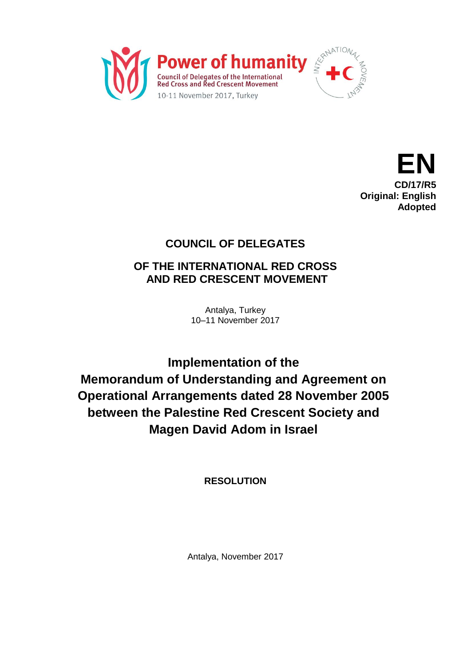



## **COUNCIL OF DELEGATES**

## **OF THE INTERNATIONAL RED CROSS AND RED CRESCENT MOVEMENT**

Antalya, Turkey 10–11 November 2017

**Implementation of the Memorandum of Understanding and Agreement on Operational Arrangements dated 28 November 2005 between the Palestine Red Crescent Society and Magen David Adom in Israel**

**RESOLUTION**

Antalya, November 2017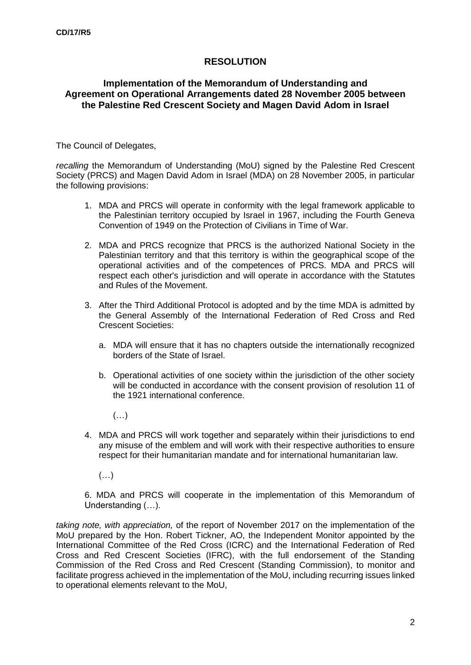## **RESOLUTION**

## **Implementation of the Memorandum of Understanding and Agreement on Operational Arrangements dated 28 November 2005 between the Palestine Red Crescent Society and Magen David Adom in Israel**

The Council of Delegates,

*recalling* the Memorandum of Understanding (MoU) signed by the Palestine Red Crescent Society (PRCS) and Magen David Adom in Israel (MDA) on 28 November 2005, in particular the following provisions:

- 1. MDA and PRCS will operate in conformity with the legal framework applicable to the Palestinian territory occupied by Israel in 1967, including the Fourth Geneva Convention of 1949 on the Protection of Civilians in Time of War.
- 2. MDA and PRCS recognize that PRCS is the authorized National Society in the Palestinian territory and that this territory is within the geographical scope of the operational activities and of the competences of PRCS. MDA and PRCS will respect each other's jurisdiction and will operate in accordance with the Statutes and Rules of the Movement.
- 3. After the Third Additional Protocol is adopted and by the time MDA is admitted by the General Assembly of the International Federation of Red Cross and Red Crescent Societies:
	- a. MDA will ensure that it has no chapters outside the internationally recognized borders of the State of Israel.
	- b. Operational activities of one society within the jurisdiction of the other society will be conducted in accordance with the consent provision of resolution 11 of the 1921 international conference.
		- $(\ldots)$
- 4. MDA and PRCS will work together and separately within their jurisdictions to end any misuse of the emblem and will work with their respective authorities to ensure respect for their humanitarian mandate and for international humanitarian law.
	- $(\ldots)$

6. MDA and PRCS will cooperate in the implementation of this Memorandum of Understanding (…).

*taking note, with appreciation,* of the report of November 2017 on the implementation of the MoU prepared by the Hon. Robert Tickner, AO, the Independent Monitor appointed by the International Committee of the Red Cross (ICRC) and the International Federation of Red Cross and Red Crescent Societies (IFRC), with the full endorsement of the Standing Commission of the Red Cross and Red Crescent (Standing Commission), to monitor and facilitate progress achieved in the implementation of the MoU, including recurring issues linked to operational elements relevant to the MoU,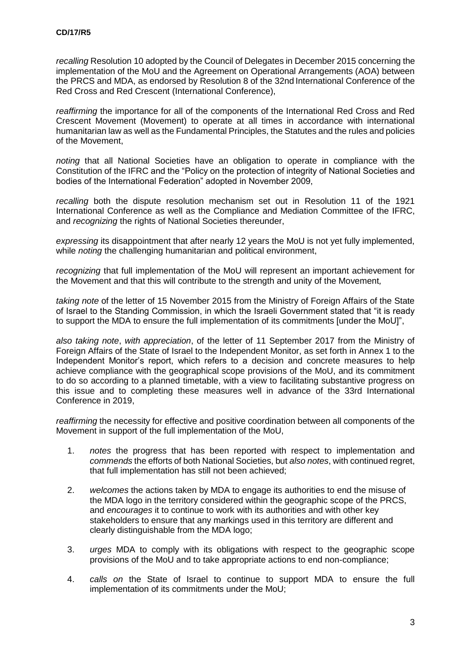*recalling* Resolution 10 adopted by the Council of Delegates in December 2015 concerning the implementation of the MoU and the Agreement on Operational Arrangements (AOA) between the PRCS and MDA, as endorsed by Resolution 8 of the 32nd International Conference of the Red Cross and Red Crescent (International Conference),

*reaffirming* the importance for all of the components of the International Red Cross and Red Crescent Movement (Movement) to operate at all times in accordance with international humanitarian law as well as the Fundamental Principles, the Statutes and the rules and policies of the Movement,

*noting* that all National Societies have an obligation to operate in compliance with the Constitution of the IFRC and the "Policy on the protection of integrity of National Societies and bodies of the International Federation" adopted in November 2009,

*recalling* both the dispute resolution mechanism set out in Resolution 11 of the 1921 International Conference as well as the Compliance and Mediation Committee of the IFRC, and *recognizing* the rights of National Societies thereunder,

*expressing* its disappointment that after nearly 12 years the MoU is not yet fully implemented, while *noting* the challenging humanitarian and political environment,

*recognizing* that full implementation of the MoU will represent an important achievement for the Movement and that this will contribute to the strength and unity of the Movement*,*

*taking note* of the letter of 15 November 2015 from the Ministry of Foreign Affairs of the State of Israel to the Standing Commission, in which the Israeli Government stated that "it is ready to support the MDA to ensure the full implementation of its commitments [under the MoU]",

*also taking note*, *with appreciation*, of the letter of 11 September 2017 from the Ministry of Foreign Affairs of the State of Israel to the Independent Monitor, as set forth in Annex 1 to the Independent Monitor's report, which refers to a decision and concrete measures to help achieve compliance with the geographical scope provisions of the MoU, and its commitment to do so according to a planned timetable, with a view to facilitating substantive progress on this issue and to completing these measures well in advance of the 33rd International Conference in 2019,

*reaffirming* the necessity for effective and positive coordination between all components of the Movement in support of the full implementation of the MoU,

- 1. *notes* the progress that has been reported with respect to implementation and *commends* the efforts of both National Societies, but *also notes*, with continued regret, that full implementation has still not been achieved;
- 2. *welcomes* the actions taken by MDA to engage its authorities to end the misuse of the MDA logo in the territory considered within the geographic scope of the PRCS, and *encourages* it to continue to work with its authorities and with other key stakeholders to ensure that any markings used in this territory are different and clearly distinguishable from the MDA logo;
- 3. *urges* MDA to comply with its obligations with respect to the geographic scope provisions of the MoU and to take appropriate actions to end non-compliance;
- 4. *calls on* the State of Israel to continue to support MDA to ensure the full implementation of its commitments under the MoU;